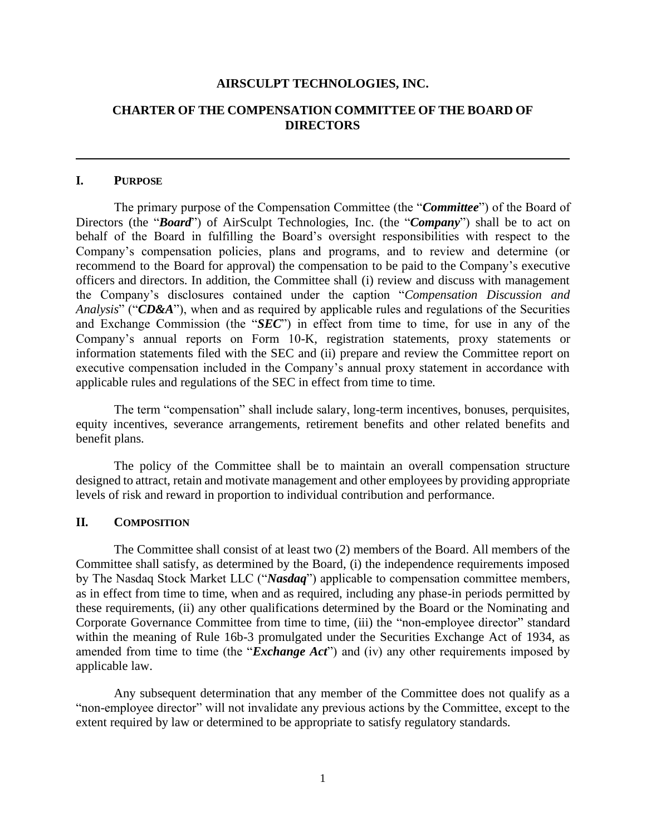#### **AIRSCULPT TECHNOLOGIES, INC.**

# **CHARTER OF THE COMPENSATION COMMITTEE OF THE BOARD OF DIRECTORS**

#### **I. PURPOSE**

The primary purpose of the Compensation Committee (the "*Committee*") of the Board of Directors (the "*Board*") of AirSculpt Technologies, Inc. (the "*Company*") shall be to act on behalf of the Board in fulfilling the Board's oversight responsibilities with respect to the Company's compensation policies, plans and programs, and to review and determine (or recommend to the Board for approval) the compensation to be paid to the Company's executive officers and directors. In addition, the Committee shall (i) review and discuss with management the Company's disclosures contained under the caption "*Compensation Discussion and Analysis*" ("*CD&A*"), when and as required by applicable rules and regulations of the Securities and Exchange Commission (the "*SEC*") in effect from time to time, for use in any of the Company's annual reports on Form 10-K, registration statements, proxy statements or information statements filed with the SEC and (ii) prepare and review the Committee report on executive compensation included in the Company's annual proxy statement in accordance with applicable rules and regulations of the SEC in effect from time to time.

The term "compensation" shall include salary, long-term incentives, bonuses, perquisites, equity incentives, severance arrangements, retirement benefits and other related benefits and benefit plans.

The policy of the Committee shall be to maintain an overall compensation structure designed to attract, retain and motivate management and other employees by providing appropriate levels of risk and reward in proportion to individual contribution and performance.

### **II. COMPOSITION**

The Committee shall consist of at least two (2) members of the Board. All members of the Committee shall satisfy, as determined by the Board, (i) the independence requirements imposed by The Nasdaq Stock Market LLC ("*Nasdaq*") applicable to compensation committee members, as in effect from time to time, when and as required, including any phase-in periods permitted by these requirements, (ii) any other qualifications determined by the Board or the Nominating and Corporate Governance Committee from time to time, (iii) the "non-employee director" standard within the meaning of Rule 16b-3 promulgated under the Securities Exchange Act of 1934, as amended from time to time (the "*Exchange Act*") and (iv) any other requirements imposed by applicable law.

Any subsequent determination that any member of the Committee does not qualify as a "non-employee director" will not invalidate any previous actions by the Committee, except to the extent required by law or determined to be appropriate to satisfy regulatory standards.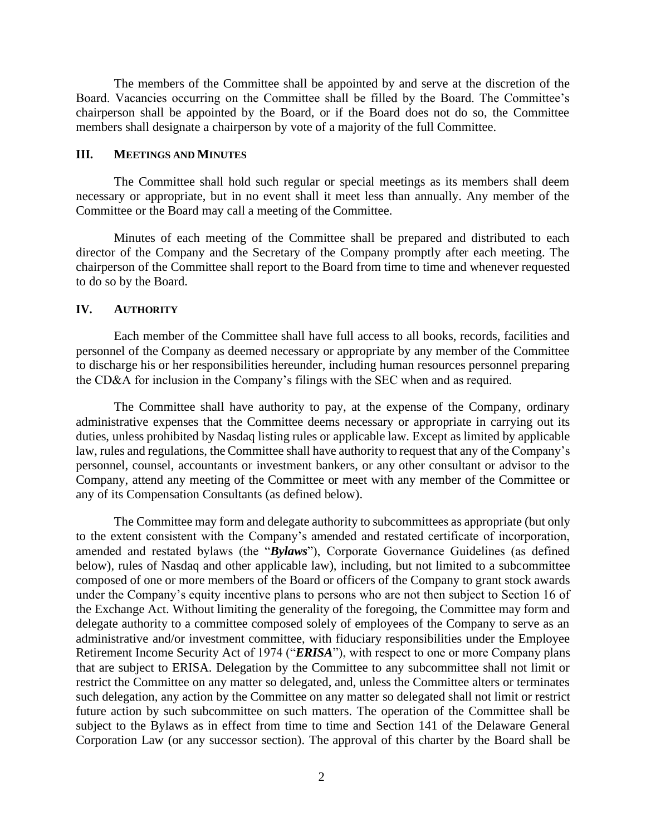The members of the Committee shall be appointed by and serve at the discretion of the Board. Vacancies occurring on the Committee shall be filled by the Board. The Committee's chairperson shall be appointed by the Board, or if the Board does not do so, the Committee members shall designate a chairperson by vote of a majority of the full Committee.

#### **III. MEETINGS AND MINUTES**

The Committee shall hold such regular or special meetings as its members shall deem necessary or appropriate, but in no event shall it meet less than annually. Any member of the Committee or the Board may call a meeting of the Committee.

Minutes of each meeting of the Committee shall be prepared and distributed to each director of the Company and the Secretary of the Company promptly after each meeting. The chairperson of the Committee shall report to the Board from time to time and whenever requested to do so by the Board.

#### **IV. AUTHORITY**

Each member of the Committee shall have full access to all books, records, facilities and personnel of the Company as deemed necessary or appropriate by any member of the Committee to discharge his or her responsibilities hereunder, including human resources personnel preparing the CD&A for inclusion in the Company's filings with the SEC when and as required.

The Committee shall have authority to pay, at the expense of the Company, ordinary administrative expenses that the Committee deems necessary or appropriate in carrying out its duties, unless prohibited by Nasdaq listing rules or applicable law. Except as limited by applicable law, rules and regulations, the Committee shall have authority to request that any of the Company's personnel, counsel, accountants or investment bankers, or any other consultant or advisor to the Company, attend any meeting of the Committee or meet with any member of the Committee or any of its Compensation Consultants (as defined below).

The Committee may form and delegate authority to subcommittees as appropriate (but only to the extent consistent with the Company's amended and restated certificate of incorporation, amended and restated bylaws (the "*Bylaws*"), Corporate Governance Guidelines (as defined below), rules of Nasdaq and other applicable law), including, but not limited to a subcommittee composed of one or more members of the Board or officers of the Company to grant stock awards under the Company's equity incentive plans to persons who are not then subject to Section 16 of the Exchange Act. Without limiting the generality of the foregoing, the Committee may form and delegate authority to a committee composed solely of employees of the Company to serve as an administrative and/or investment committee, with fiduciary responsibilities under the Employee Retirement Income Security Act of 1974 ("*ERISA*"), with respect to one or more Company plans that are subject to ERISA. Delegation by the Committee to any subcommittee shall not limit or restrict the Committee on any matter so delegated, and, unless the Committee alters or terminates such delegation, any action by the Committee on any matter so delegated shall not limit or restrict future action by such subcommittee on such matters. The operation of the Committee shall be subject to the Bylaws as in effect from time to time and Section 141 of the Delaware General Corporation Law (or any successor section). The approval of this charter by the Board shall be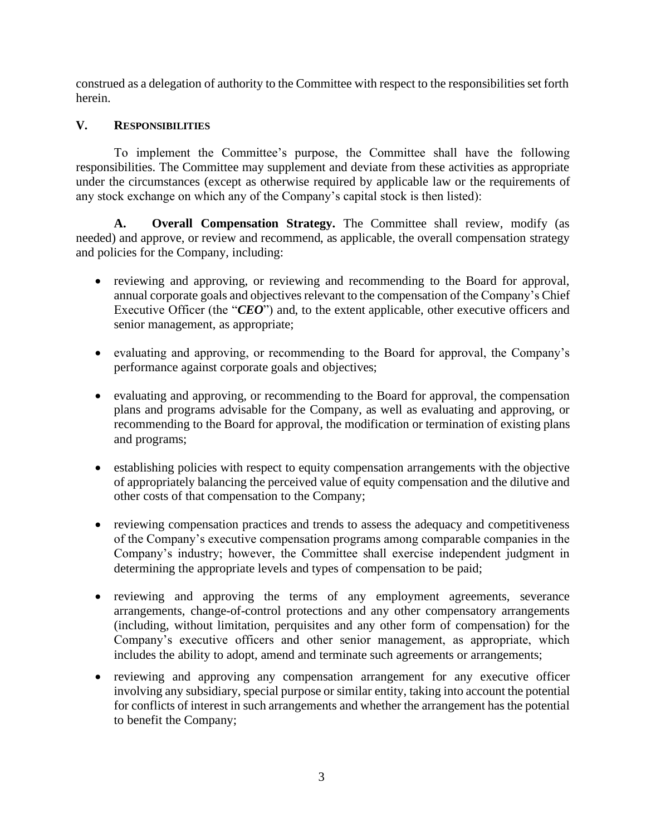construed as a delegation of authority to the Committee with respect to the responsibilities set forth herein.

# **V. RESPONSIBILITIES**

To implement the Committee's purpose, the Committee shall have the following responsibilities. The Committee may supplement and deviate from these activities as appropriate under the circumstances (except as otherwise required by applicable law or the requirements of any stock exchange on which any of the Company's capital stock is then listed):

**A. Overall Compensation Strategy.** The Committee shall review, modify (as needed) and approve, or review and recommend, as applicable, the overall compensation strategy and policies for the Company, including:

- reviewing and approving, or reviewing and recommending to the Board for approval, annual corporate goals and objectives relevant to the compensation of the Company's Chief Executive Officer (the "*CEO*") and, to the extent applicable, other executive officers and senior management, as appropriate;
- evaluating and approving, or recommending to the Board for approval, the Company's performance against corporate goals and objectives;
- evaluating and approving, or recommending to the Board for approval, the compensation plans and programs advisable for the Company, as well as evaluating and approving, or recommending to the Board for approval, the modification or termination of existing plans and programs;
- establishing policies with respect to equity compensation arrangements with the objective of appropriately balancing the perceived value of equity compensation and the dilutive and other costs of that compensation to the Company;
- reviewing compensation practices and trends to assess the adequacy and competitiveness of the Company's executive compensation programs among comparable companies in the Company's industry; however, the Committee shall exercise independent judgment in determining the appropriate levels and types of compensation to be paid;
- reviewing and approving the terms of any employment agreements, severance arrangements, change-of-control protections and any other compensatory arrangements (including, without limitation, perquisites and any other form of compensation) for the Company's executive officers and other senior management, as appropriate, which includes the ability to adopt, amend and terminate such agreements or arrangements;
- reviewing and approving any compensation arrangement for any executive officer involving any subsidiary, special purpose or similar entity, taking into account the potential for conflicts of interest in such arrangements and whether the arrangement has the potential to benefit the Company;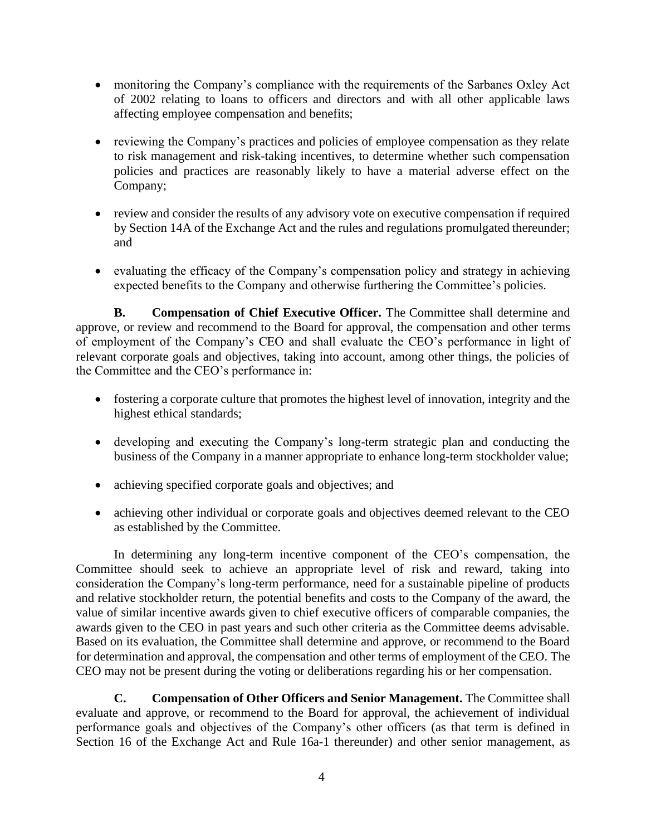- monitoring the Company's compliance with the requirements of the Sarbanes Oxley Act of 2002 relating to loans to officers and directors and with all other applicable laws affecting employee compensation and benefits;
- reviewing the Company's practices and policies of employee compensation as they relate to risk management and risk-taking incentives, to determine whether such compensation policies and practices are reasonably likely to have a material adverse effect on the Company;
- review and consider the results of any advisory vote on executive compensation if required by Section 14A of the Exchange Act and the rules and regulations promulgated thereunder; and
- evaluating the efficacy of the Company's compensation policy and strategy in achieving expected benefits to the Company and otherwise furthering the Committee's policies.

**B. Compensation of Chief Executive Officer.** The Committee shall determine and approve, or review and recommend to the Board for approval, the compensation and other terms of employment of the Company's CEO and shall evaluate the CEO's performance in light of relevant corporate goals and objectives, taking into account, among other things, the policies of the Committee and the CEO's performance in:

- fostering a corporate culture that promotes the highest level of innovation, integrity and the highest ethical standards;
- developing and executing the Company's long-term strategic plan and conducting the business of the Company in a manner appropriate to enhance long-term stockholder value;
- achieving specified corporate goals and objectives; and
- achieving other individual or corporate goals and objectives deemed relevant to the CEO as established by the Committee.

In determining any long-term incentive component of the CEO's compensation, the Committee should seek to achieve an appropriate level of risk and reward, taking into consideration the Company's long-term performance, need for a sustainable pipeline of products and relative stockholder return, the potential benefits and costs to the Company of the award, the value of similar incentive awards given to chief executive officers of comparable companies, the awards given to the CEO in past years and such other criteria as the Committee deems advisable. Based on its evaluation, the Committee shall determine and approve, or recommend to the Board for determination and approval, the compensation and other terms of employment of the CEO. The CEO may not be present during the voting or deliberations regarding his or her compensation.

**C. Compensation of Other Officers and Senior Management.** The Committee shall evaluate and approve, or recommend to the Board for approval, the achievement of individual performance goals and objectives of the Company's other officers (as that term is defined in Section 16 of the Exchange Act and Rule 16a-1 thereunder) and other senior management, as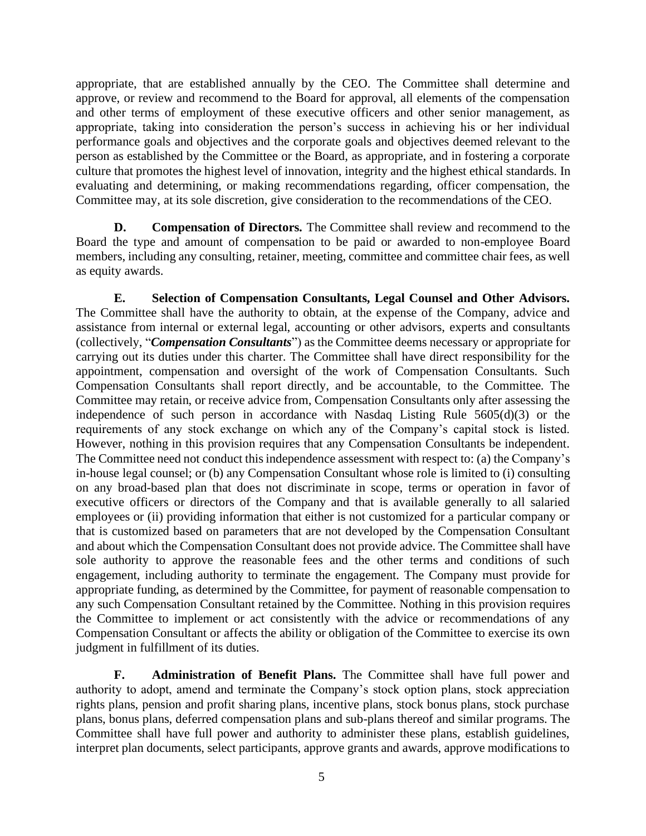appropriate, that are established annually by the CEO. The Committee shall determine and approve, or review and recommend to the Board for approval, all elements of the compensation and other terms of employment of these executive officers and other senior management, as appropriate, taking into consideration the person's success in achieving his or her individual performance goals and objectives and the corporate goals and objectives deemed relevant to the person as established by the Committee or the Board, as appropriate, and in fostering a corporate culture that promotes the highest level of innovation, integrity and the highest ethical standards. In evaluating and determining, or making recommendations regarding, officer compensation, the Committee may, at its sole discretion, give consideration to the recommendations of the CEO.

**D. Compensation of Directors.** The Committee shall review and recommend to the Board the type and amount of compensation to be paid or awarded to non-employee Board members, including any consulting, retainer, meeting, committee and committee chair fees, as well as equity awards.

**E. Selection of Compensation Consultants, Legal Counsel and Other Advisors.**  The Committee shall have the authority to obtain, at the expense of the Company, advice and assistance from internal or external legal, accounting or other advisors, experts and consultants (collectively, "*Compensation Consultants*") as the Committee deems necessary or appropriate for carrying out its duties under this charter. The Committee shall have direct responsibility for the appointment, compensation and oversight of the work of Compensation Consultants. Such Compensation Consultants shall report directly, and be accountable, to the Committee. The Committee may retain, or receive advice from, Compensation Consultants only after assessing the independence of such person in accordance with Nasdaq Listing Rule 5605(d)(3) or the requirements of any stock exchange on which any of the Company's capital stock is listed. However, nothing in this provision requires that any Compensation Consultants be independent. The Committee need not conduct this independence assessment with respect to: (a) the Company's in-house legal counsel; or (b) any Compensation Consultant whose role is limited to (i) consulting on any broad-based plan that does not discriminate in scope, terms or operation in favor of executive officers or directors of the Company and that is available generally to all salaried employees or (ii) providing information that either is not customized for a particular company or that is customized based on parameters that are not developed by the Compensation Consultant and about which the Compensation Consultant does not provide advice. The Committee shall have sole authority to approve the reasonable fees and the other terms and conditions of such engagement, including authority to terminate the engagement. The Company must provide for appropriate funding, as determined by the Committee, for payment of reasonable compensation to any such Compensation Consultant retained by the Committee. Nothing in this provision requires the Committee to implement or act consistently with the advice or recommendations of any Compensation Consultant or affects the ability or obligation of the Committee to exercise its own judgment in fulfillment of its duties.

**F. Administration of Benefit Plans.** The Committee shall have full power and authority to adopt, amend and terminate the Company's stock option plans, stock appreciation rights plans, pension and profit sharing plans, incentive plans, stock bonus plans, stock purchase plans, bonus plans, deferred compensation plans and sub-plans thereof and similar programs. The Committee shall have full power and authority to administer these plans, establish guidelines, interpret plan documents, select participants, approve grants and awards, approve modifications to